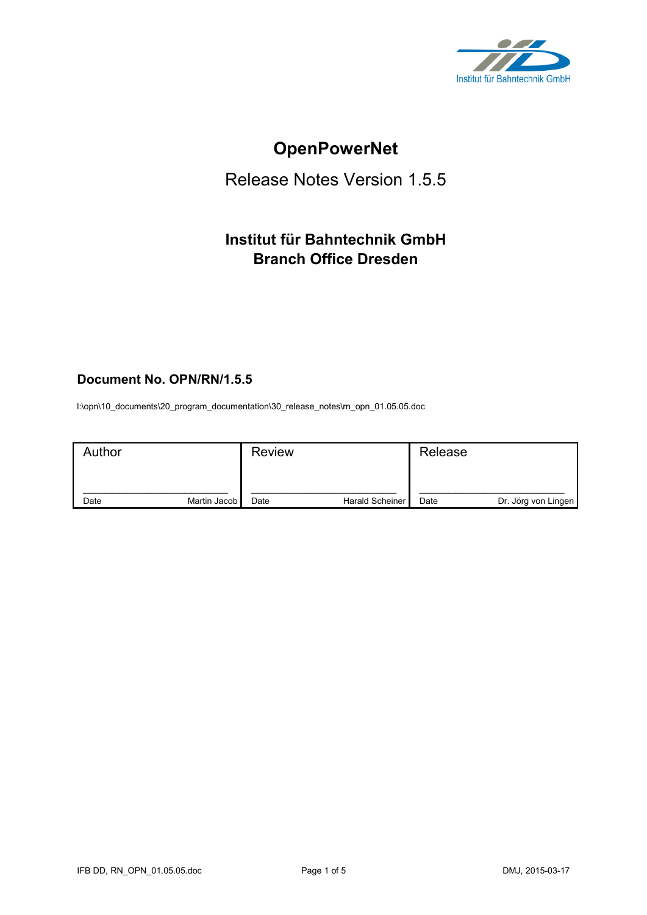

# **OpenPowerNet**

## Release Notes Version 1.5.5

## **Institut für Bahntechnik GmbH Branch Office Dresden**

## **Document No. OPN/RN/1.5.5**

l:\opn\10\_documents\20\_program\_documentation\30\_release\_notes\rn\_opn\_01.05.05.doc

| Author |              | <b>Review</b> |                 | Release |                     |
|--------|--------------|---------------|-----------------|---------|---------------------|
| Date   | Martin Jacob | Date          | Harald Scheiner | Date    | Dr. Jörg von Lingen |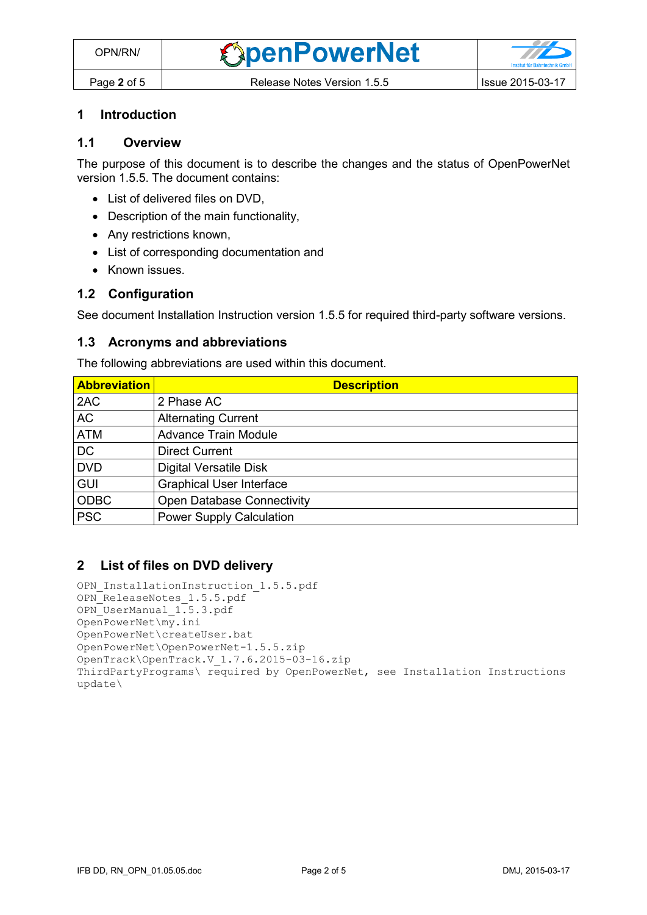#### **1 Introduction**

## **1.1 Overview**

The purpose of this document is to describe the changes and the status of OpenPowerNet version 1.5.5. The document contains:

- List of delivered files on DVD.
- Description of the main functionality,
- Any restrictions known,
- List of corresponding documentation and
- Known issues.

#### **1.2 Configuration**

See document Installation Instruction version 1.5.5 for required third-party software versions.

#### **1.3 Acronyms and abbreviations**

The following abbreviations are used within this document.

| <b>Abbreviation</b> | <b>Description</b>                |
|---------------------|-----------------------------------|
| 2AC                 | 2 Phase AC                        |
| <b>AC</b>           | <b>Alternating Current</b>        |
| <b>ATM</b>          | <b>Advance Train Module</b>       |
| <b>DC</b>           | <b>Direct Current</b>             |
| <b>DVD</b>          | <b>Digital Versatile Disk</b>     |
| <b>GUI</b>          | <b>Graphical User Interface</b>   |
| <b>ODBC</b>         | <b>Open Database Connectivity</b> |
| <b>PSC</b>          | <b>Power Supply Calculation</b>   |

#### **2 List of files on DVD delivery**

```
OPN InstallationInstruction 1.5.5.pdf
OPN_ReleaseNotes_1.5.5.pdf
OPN_UserManual_1.5.3.pdf
OpenPowerNet\my.ini
OpenPowerNet\createUser.bat
OpenPowerNet\OpenPowerNet-1.5.5.zip
OpenTrack\OpenTrack.V_1.7.6.2015-03-16.zip
ThirdPartyPrograms\ required by OpenPowerNet, see Installation Instructions
update\
```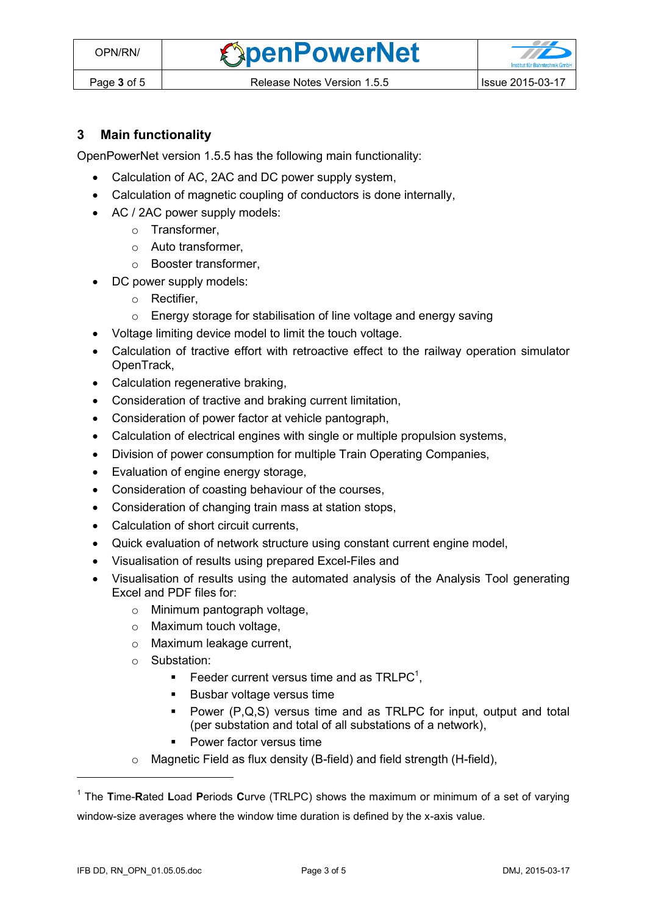**OpenPowerNet** 



## **3 Main functionality**

OpenPowerNet version 1.5.5 has the following main functionality:

- Calculation of AC, 2AC and DC power supply system,
- Calculation of magnetic coupling of conductors is done internally,
- AC / 2AC power supply models:
	- o Transformer,
	- o Auto transformer,
	- o Booster transformer,
	- DC power supply models:
		- o Rectifier,
		- o Energy storage for stabilisation of line voltage and energy saving
- Voltage limiting device model to limit the touch voltage.
- Calculation of tractive effort with retroactive effect to the railway operation simulator OpenTrack,
- Calculation regenerative braking,
- Consideration of tractive and braking current limitation,
- Consideration of power factor at vehicle pantograph,
- Calculation of electrical engines with single or multiple propulsion systems,
- Division of power consumption for multiple Train Operating Companies,
- Evaluation of engine energy storage,
- Consideration of coasting behaviour of the courses,
- Consideration of changing train mass at station stops,
- Calculation of short circuit currents,
- Quick evaluation of network structure using constant current engine model,
- Visualisation of results using prepared Excel-Files and
- <span id="page-2-0"></span> Visualisation of results using the automated analysis of the Analysis Tool generating Excel and PDF files for:
	- o Minimum pantograph voltage,
	- o Maximum touch voltage,
	- o Maximum leakage current,
	- o Substation:
		- Feeder current versus time and as  $TRLPC<sup>1</sup>$ ,
		- **Busbar voltage versus time**
		- Power (P,Q,S) versus time and as TRLPC for input, output and total (per substation and total of all substations of a network),
		- **•** Power factor versus time
	- o Magnetic Field as flux density (B-field) and field strength (H-field),

 $\overline{a}$ 

<sup>1</sup> The **T**ime-**R**ated **L**oad **P**eriods **C**urve (TRLPC) shows the maximum or minimum of a set of varying window-size averages where the window time duration is defined by the x-axis value.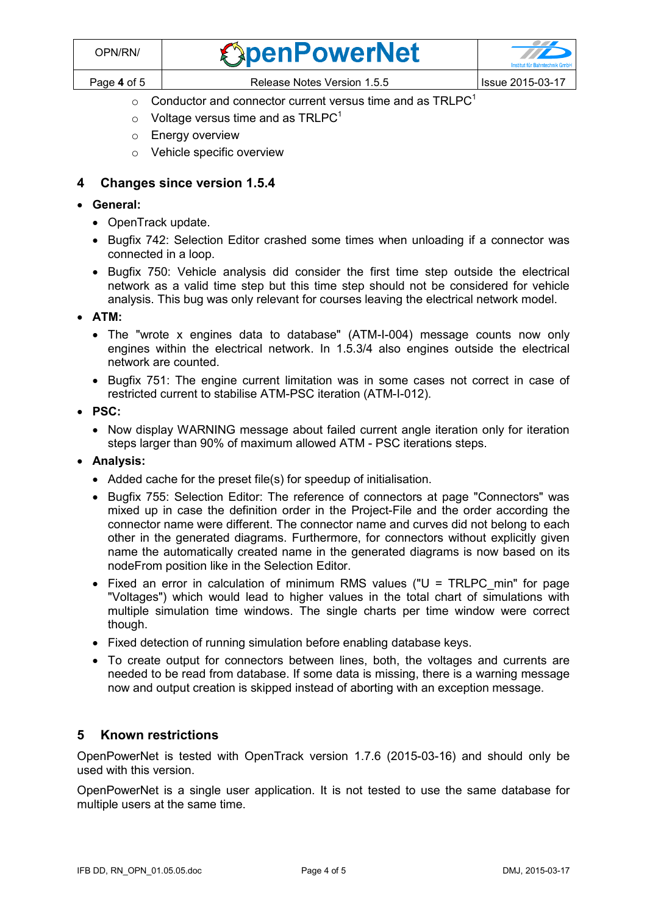| OPN/RN/     | <b><i><u>SpenPowerNet</u></i></b> | <b>TILES</b>            |
|-------------|-----------------------------------|-------------------------|
| Page 4 of 5 | Release Notes Version 1.5.5       | <b>Issue 2015-03-17</b> |

- $\circ$  [C](#page-2-0)onductor and connector current versus time and as TRLPC<sup>1</sup>
- $\circ$  Voltage versus time and as TRLPC<sup>[1](#page-2-0)</sup>
- o Energy overview
- o Vehicle specific overview

### **4 Changes since version 1.5.4**

- **General:**
	- OpenTrack update.
	- Bugfix 742: Selection Editor crashed some times when unloading if a connector was connected in a loop.
	- Bugfix 750: Vehicle analysis did consider the first time step outside the electrical network as a valid time step but this time step should not be considered for vehicle analysis. This bug was only relevant for courses leaving the electrical network model.
- **ATM:**
	- The "wrote x engines data to database" (ATM-I-004) message counts now only engines within the electrical network. In 1.5.3/4 also engines outside the electrical network are counted.
	- Bugfix 751: The engine current limitation was in some cases not correct in case of restricted current to stabilise ATM-PSC iteration (ATM-I-012).
- **PSC:** 
	- Now display WARNING message about failed current angle iteration only for iteration steps larger than 90% of maximum allowed ATM - PSC iterations steps.
- **Analysis:**
	- Added cache for the preset file(s) for speedup of initialisation.
	- Bugfix 755: Selection Editor: The reference of connectors at page "Connectors" was mixed up in case the definition order in the Project-File and the order according the connector name were different. The connector name and curves did not belong to each other in the generated diagrams. Furthermore, for connectors without explicitly given name the automatically created name in the generated diagrams is now based on its nodeFrom position like in the Selection Editor.
	- Fixed an error in calculation of minimum RMS values ("U = TRLPC\_min" for page "Voltages") which would lead to higher values in the total chart of simulations with multiple simulation time windows. The single charts per time window were correct though.
	- Fixed detection of running simulation before enabling database keys.
	- To create output for connectors between lines, both, the voltages and currents are needed to be read from database. If some data is missing, there is a warning message now and output creation is skipped instead of aborting with an exception message.

#### **5 Known restrictions**

OpenPowerNet is tested with OpenTrack version 1.7.6 (2015-03-16) and should only be used with this version.

OpenPowerNet is a single user application. It is not tested to use the same database for multiple users at the same time.